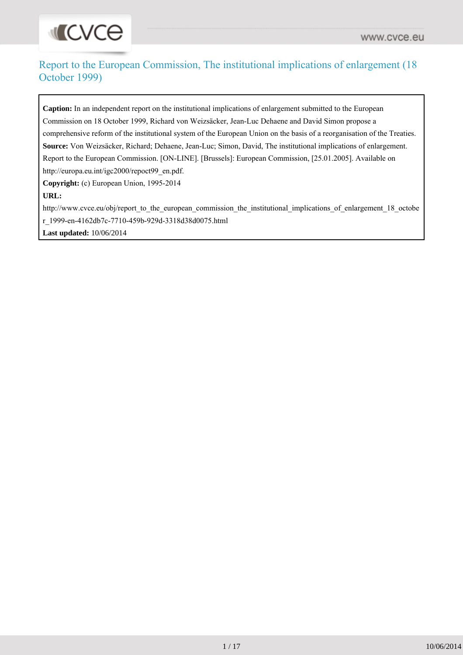# **INCACE**

## Report to the European Commission, The institutional implications of enlargement (18 October 1999)

**Caption:** In an independent report on the institutional implications of enlargement submitted to the European Commission on 18 October 1999, Richard von Weizsäcker, Jean-Luc Dehaene and David Simon propose a comprehensive reform of the institutional system of the European Union on the basis of a reorganisation of the Treaties. **Source:** Von Weizsäcker, Richard; Dehaene, Jean-Luc; Simon, David, The institutional implications of enlargement. Report to the European Commission. [ON-LINE]. [Brussels]: European Commission, [25.01.2005]. Available on http://europa.eu.int/igc2000/repoct99\_en.pdf.

**Copyright:** (c) European Union, 1995-2014 **URL:**

[http://www.cvce.eu/obj/report\\_to\\_the\\_european\\_commission\\_the\\_institutional\\_implications\\_of\\_enlargement\\_18\\_octobe](http://www.cvce.eu/obj/report_to_the_european_commission_the_institutional_implications_of_enlargement_18_october_1999-en-4162db7c-7710-459b-929d-3318d38d0075.html) [r\\_1999-en-4162db7c-7710-459b-929d-3318d38d0075.html](http://www.cvce.eu/obj/report_to_the_european_commission_the_institutional_implications_of_enlargement_18_october_1999-en-4162db7c-7710-459b-929d-3318d38d0075.html)

**Last updated:** 10/06/2014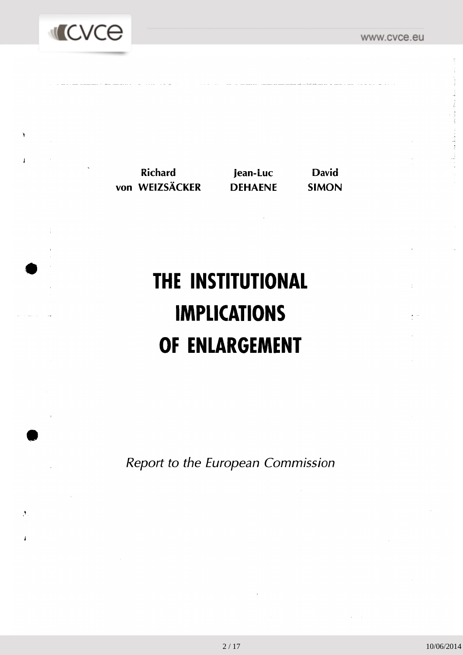www.cvce.eu



 $\hat{\mathbf{v}}$ 

Ą,

ś

Richard jean-Luc David von WEIZSÄCKER DEHAENE SIMON

# **THE INSTITUTIONAL IMPLICATIONS OF ENLARGEMENT**

Report to the European Commission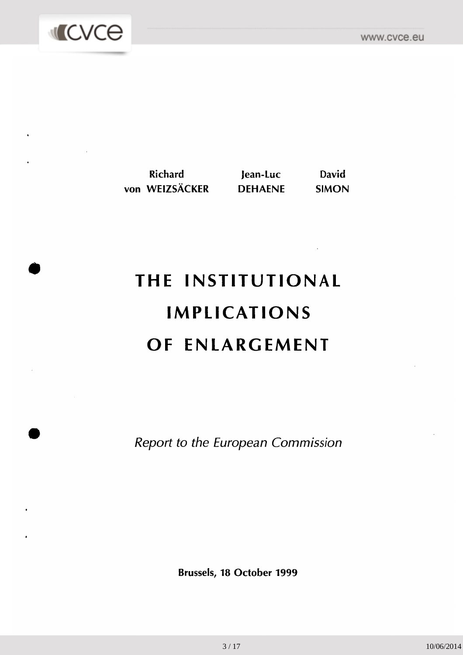www.cvce.eu



 $\ddot{\phantom{1}}$ 

**Richard Jean-Luc David von WEIZSÄCKER DEHAENE SIMON** 

# **THE INSTITUTIONAL IMPLICATIONS OF ENLARGEMENT**

Report to the European Commission

Brussels, 18 October 1999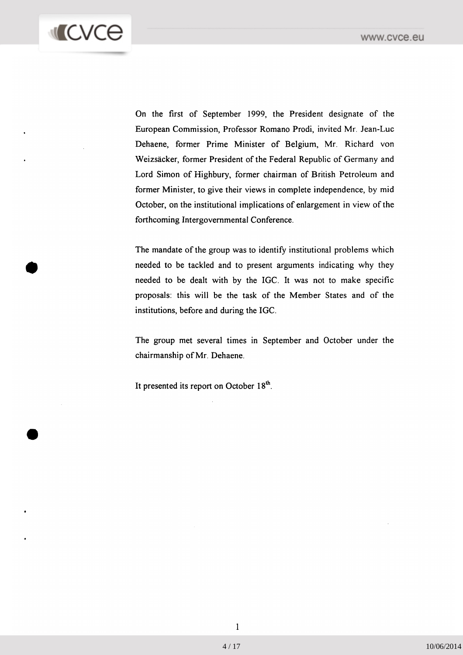

On the first of September 1999, the President designate of the European Commission, Professor Romano Prodi, invited Mr. Jean-Luc Dehaene, former Prime Minister of Belgium, Mr. Richard von Weizsäcker, former President of the Federal Republic of Germany and Lord Simon of Highbury, former chairman of British Petroleum and former Minister, to give their views in complete independence, by mid October, on the institutional implications of enlargement in view of the forthcoming Intergovernmental Conference.

The mandate of the group was to identify institutional problems which needed to be tackled and to present arguments indicating why they needed to be dealt with by the IGC. It was not to make specific proposals: this will be the task of the Member States and of the institutions, before and during the IGC.

The group met several times in September and October under the chairmanship of Mr. Dehaene.

It presented its report on October 18<sup>th</sup>.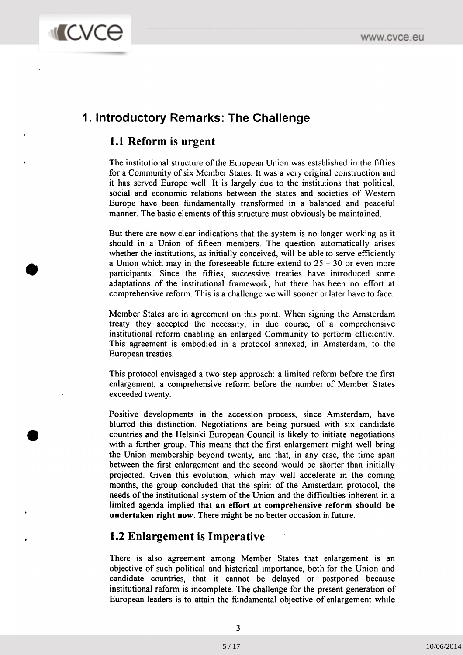

## **1. Introductory Remarks: The Challenge**

### **1.1 Reform is urgent**

The institutional structure of the European Union was established in the fifties for a Community of six Member States. It was a very original construction and it has served Europe well. It is largely due to the institutions that political, social and economic relations between the states and societies of Western Europe have been fundamentally transformed in a balanced and peaceful manner. The basic elements of this structure must obviously be maintained.

But there are now clear indications that the system is no longer working as it should in a Union of fifteen members. The question automatically arises whether the institutions, as initially conceived, will be able to serve efficiently a Union which may in the foreseeable future extend to  $25 - 30$  or even more participants. Since the fifties, successive treaties have introduced some adaptations of the institutional framework, but there has been no effort at comprehensive reform. This is a challenge we will sooner or later have to face.

Member States are in agreement on this point. When signing the Amsterdam treaty they accepted the necessity, in due course, of a comprehensive institutional reform enabling an enlarged Community to perform efficiently. This agreement is embodied in a protocol annexed, in Amsterdam, to the European treaties.

This protocol envisaged a two step approach: a limited reform before the first enlargement, a comprehensive reform before the number of Member States exceeded twenty.

Positive developments in the accession process, since Amsterdam, have blurred this distinction. Negotiations are being pursued with six candidate countries and the Helsinki European Council is likely to initiate negotiations with a further group. This means that the first enlargement might well bring the Union membership beyond twenty, and that, in any case, the time span between the first enlargement and the second would be shorter than initially projected. Given this evolution, which may well accelerate in the coming months, the group concluded that the spirit of the Amsterdam protocol, the needs of the institutional system of the Union and the difficulties inherent in a limited agenda implied that **an effort at comprehensive reform should be undertaken right now.** There might be no better occasion in future.

### **1.2 Enlargement is Imperative**

There is also agreement among Member States that enlargement is an objective of such political and historical importance, both for the Union and candidate countries, that it cannot be delayed or postponed because institutional reform is incomplete. The challenge for the present generation of European leaders is to attain the fundamental objective of enlargement while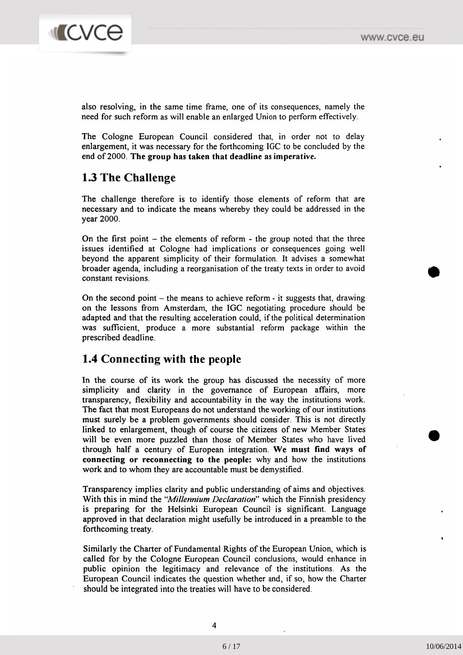

also resolving, in the same time frame, one of its consequences, namely the need for such reform as will enable an enlarged Union to perform effectively.

The Cologne European Council considered that, in order not to delay enlargement, it was necessary for the forthcoming IGC to be concluded by the end of 2000. **The group has taken that deadline** as **imperative.** 

### **1.3 The Challenge**

The challenge therefore is to identify those elements of reform that are necessary and to indicate the means whereby they could be addressed in the year 2000.

On the first point  $-$  the elements of reform  $-$  the group noted that the three issues identified at Cologne had implications or consequences going well beyond the apparent simplicity of their formulation. It advises a somewhat broader agenda, including a reorganisation of the treaty texts in order to avoid constant revisions.

On the second point  $-$  the means to achieve reform  $\cdot$  it suggests that, drawing on the lessons from Amsterdam, the IGC negotiating procedure should be adapted and that the resulting acceleration could, if the political determination was sufficient, produce a more substantial reform package within the prescribed deadline.

### **1.4 Connecting with the people**

In the course of its work the group has discussed the necessity of more simplicity and clarity in the governance of European affairs, more transparency, flexibility and accountability in the way the institutions work. The fact that most Europeans do not understand the working of our institutions must surely be a problem governments should consider. This is not directly linked to enlargement, though of course the citizens of new Member States will be even more puzzled than those of Member States who have lived through half a century of European integration. **We must find** ways **of connecting or reconnecting to the people:** why and how the institutions work and to whom they are accountable must be demystified.

Transparency implies clarity and public understanding of aims and objectives. With this in mind the *"Millennium Declaration"* which the Finnish presidency is preparing for the Helsinki European Council is significant. Language approved in that declaration might usefully be introduced in a preamble to the forthcoming treaty.

Similarly the Charter of Fundamental Rights of the European Union, which is called for by the Cologne European Council conclusions, would enhance in public opinion the legitimacy and relevance of the institutions. As the European Council indicates the question whether and, if so, how the Charter should be integrated into the treaties will have to be considered.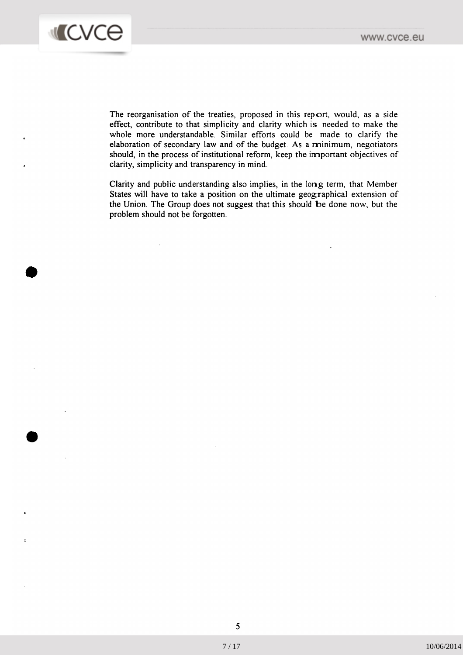

The reorganisation of the treaties, proposed in this report, would, as a side effect, contribute to that simplicity and clarity which is needed to make the whole more understandable. Similar efforts could be made to clarify the elaboration of secondary law and of the budget. As a minimum, negotiators should, in the process of institutional reform, keep the important objectives of clarity, simplicity and transparency in mind.

Clarity and public understanding also implies, in the long term, that Member States will have to take a position on the ultimate geographical extension of the Union. The Group does not suggest that this should be done now, but the problem should not be forgotten.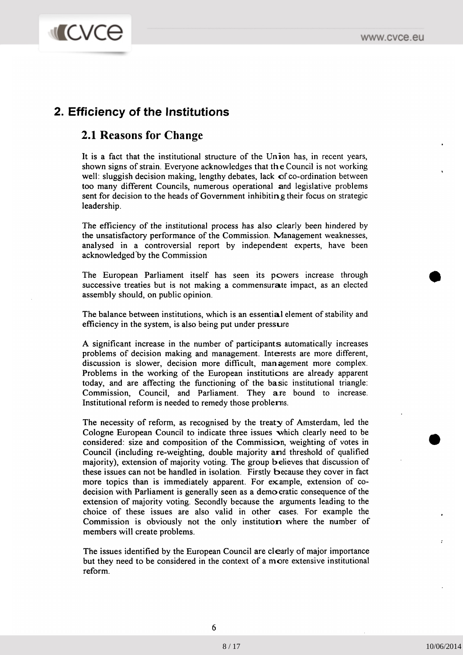## **UICVCO**

## **2. Efficiency of the Institutions**

### **2.1 Reasons for Change**

It is a fact that the institutional structure of the Union has, in recent years, shown signs of strain. Everyone acknowledges that the Council is not working well: sluggish decision making, lengthy debates, lack of co-ordination between too many different Councils, numerous operational and legislative problems sent for decision to the heads of Government inhibiting their focus on strategic leadership.

The efficiency of the institutional process has also clearly been hindered by the unsatisfactory performance of the Commission. Management weaknesses, analysed in a controversial report by independent experts, have been acknowledged'by the Commission

The European Parliament itself has seen its powers increase through successive treaties but is not making a commensurate impact, as an elected assembly should, on public opinion.

The balance between institutions, which is an essential element of stability and efficiency in the system, is also being put under pressure

A significant increase in the number of participants automatically increases problems of decision making and management. Interests are more different, discussion is slower, decision more difficult, management more complex. Problems in the working of the European institutions are already apparent today, and are affecting the functioning of the basic institutional triangle: Commission, Council, and Parliament. They are bound to increase. Institutional reform is needed to remedy those problems.

The necessity of reform, as recognised by the treaty of Amsterdam, led the Cologne European Council to indicate three issues which clearly need to be considered: size and composition of the Commission, weighting of votes in Council (including re-weighting, double majority and threshold of qualified majority), extension of majority voting. The group believes that discussion of these issues can not be handled in isolation. Firstly because they cover in fact more topics than is immediately apparent. For example, extension of codecision with Parliament is generally seen as a democratic consequence of the extension of majority voting. Secondly because the arguments leading to the choice of these issues are also valid in other cases. For example the Commission is obviously not the only institution where the number of members will create problems.

The issues identified by the European Council are clearly of major importance but they need to be considered in the context of a more extensive institutional reform.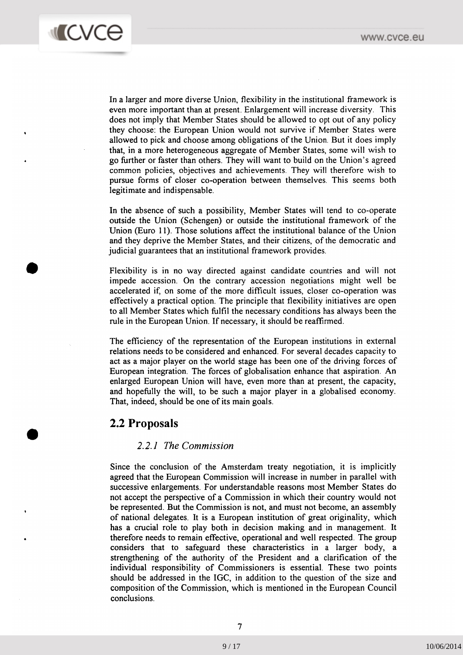

In a larger and more diverse Union, flexibility in the institutional framework is even more important than at present. Enlargement will increase diversity. This does not imply that Member States should be allowed to opt out of any policy they choose: the European Union would not survive if Member States were allowed to pick and choose among obligations of the Union. But it does imply that, in a more heterogeneous aggregate of Member States, some will wish to go further or faster than others. They will want to build on the Union's agreed common policies, objectives and achievements. They will therefore wish to pursue forms of closer co-operation between themselves. This seems both legitimate and indispensable.

In the absence of such a possibility. Member States will tend to co-operate outside the Union (Schengen) or outside the institutional framework of the Union (Euro 11). Those solutions affect the institutional balance of the Union and they deprive the Member States, and their citizens, of the democratic and judicial guarantees that an institutional framework provides.

Flexibility is in no way directed against candidate countries and will not impede accession. On the contrary accession negotiations might well be accelerated if, on some of the more difficult issues, closer co-operation was effectively a practical option. The principle that flexibility initiatives are open to all Member States which fulfil the necessary conditions has always been the rule in the European Union. If necessary, it should be reaffirmed.

The efficiency of the representation of the European institutions in external relations needs to be considered and enhanced. For several decades capacity to act as a major player on the world stage has been one of the driving forces of European integration. The forces of globalisation enhance that aspiration. An enlarged European Union will have, even more than at present, the capacity, and hopefully the will, to be such a major player in a globalised economy. That, indeed, should be one of its main goals.

#### **2.2 Proposals**

#### *2.2.1 The Commission*

Since the conclusion of the Amsterdam treaty negotiation, it is implicitly agreed that the European Commission will increase in number in parallel with successive enlargements. For understandable reasons most Member States do not accept the perspective of a Commission in which their country would not be represented. But the Commission is not, and must not become, an assembly of national delegates. It is a European institution of great originality, which has a crucial role to play both in decision making and in management. It therefore needs to remain effective, operational and well respected. The group considers that to safeguard these characteristics in a larger body, a strengthening of the authority of the President and a clarification of the individual responsibility of Commissioners is essential. These two points should be addressed in the IGC, in addition to the question of the size and composition of the Commission, which is mentioned in the European Council conclusions.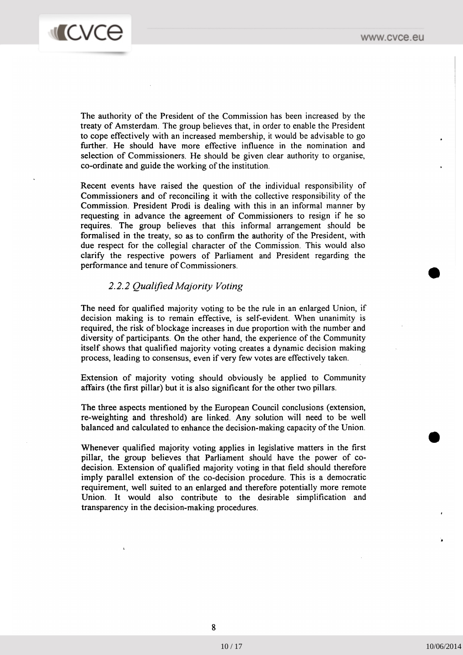

The authority of the President of the Commission has been increased by the treaty of Amsterdam. The group believes that, in order to enable the President to cope effectively with an increased membership, it would be advisable to go further. He should have more effective influence in the nomination and selection of Commissioners. He should be given clear authority to organise, co-ordinate and guide the working of the institution.

Recent events have raised the question of the individual responsibility of Commissioners and of reconciling it with the collective responsibility of the Commission. President Prodi is dealing with this in an informal manner by requesting in advance the agreement of Commissioners to resign if he so requires. The group believes that this informal arrangement should be formalised in the treaty, so as to confirm the authority of the President, with due respect for the collégial character of the Commission. This would also clarify the respective powers of Parliament and President regarding the performance and tenure of Commissioners.

#### 2.2.2 *Qualified Majority Voting*

The need for qualified majority voting to be the rule in an enlarged Union, if decision making is to remain effective, is self-evident. When unanimity is required, the risk of blockage increases in due proportion with the number and diversity of participants. On the other hand, the experience of the Community itself shows that qualified majority voting creates a dynamic decision making process, leading to consensus, even if very few votes are effectively taken.

Extension of majority voting should obviously be applied to Community affairs (the first pillar) but it is also significant for the other two pillars.

The three aspects mentioned by the European Council conclusions (extension, re-weighting and threshold) are linked. Any solution will need to be well balanced and calculated to enhance the decision-making capacity of the Union.

Whenever qualified majority voting applies in legislative matters in the first pillar, the group believes that Parliament should have the power of codecision. Extension of qualified majority voting in that field should therefore imply parallel extension of the co-decision procedure. This is a democratic requirement, well suited to an enlarged and therefore potentially more remote Union. It would also contribute to the desirable simplification and transparency in the decision-making procedures.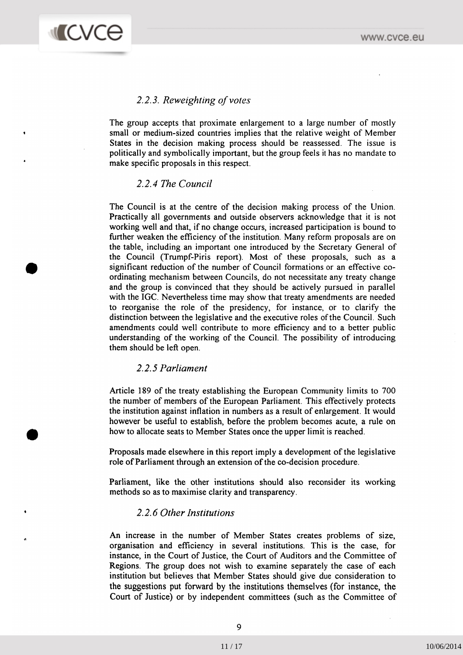## **I** CVCE

#### *2.2.3. Reweighting of votes*

The group accepts that proximate enlargement to a large number of mostly small or medium-sized countries implies that the relative weight of Member States in the decision making process should be reassessed. The issue is politically and symbolically important, but the group feels it has no mandate to make specific proposals in this respect.

#### *2.2.4 The Council*

The Council is at the centre of the decision making process of the Union. Practically all governments and outside observers acknowledge that it is not working well and that, if no change occurs, increased participation is bound to further weaken the efficiency of the institution. Many reform proposals are on the table, including an important one introduced by the Secretary General of the Council (Trumpf-Piris report). Most of these proposals, such as a significant reduction of the number of Council formations or an effective coordinating mechanism between Councils, do not necessitate any treaty change and the group is convinced that they should be actively pursued in parallel with the IGC. Nevertheless time may show that treaty amendments are needed to reorganise the role of the presidency, for instance, or to clarify the distinction between the legislative and the executive roles of the Council. Such amendments could well contribute to more efficiency and to a better public understanding of the working of the Council. The possibility of introducing them should be left open.

#### *2.2.5 Parliament*

Article 189 of the treaty establishing the European Community limits to 700 the number of members of the European Parliament. This effectively protects the institution against inflation in numbers as a result of enlargement. It would however be useful to establish, before the problem becomes acute, a rule on how to allocate seats to Member States once the upper limit is reached.

Proposals made elsewhere in this report imply a development of the legislative role of Parliament through an extension of the co-decision procedure.

Parliament, like the other institutions should also reconsider its working methods so as to maximise clarity and transparency.

#### *2.2.6 Other Institutions*

An increase in the number of Member States creates problems of size, organisation and efficiency in several institutions. This is the case, for instance, in the Court of Justice, the Court of Auditors and the Committee of Regions. The group does not wish to examine separately the case of each institution but believes that Member States should give due consideration to the suggestions put forward by the institutions themselves (for instance, the Court of Justice) or by independent committees (such as the Committee of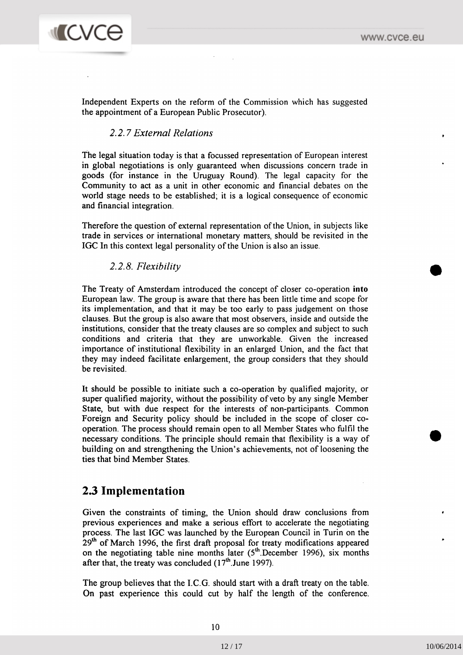



Independent Experts on the reform of the Commission which has suggested the appointment of a European Public Prosecutor).

#### *2.2.7 External Relations*

The legal situation today is that a focussed representation of European interest in global negotiations is only guaranteed when discussions concern trade in goods (for instance in the Uruguay Round). The legal capacity for the Community to act as a unit in other economic and financial debates on the world stage needs to be established; it is a logical consequence of economic and financial integration.

Therefore the question of external representation of the Union, in subjects like trade in services or international monetary matters, should be revisited in the IGC In this context legal personality of the Union is also an issue.

#### 2.2.5. *Flexibility*

The Treaty of Amsterdam introduced the concept of closer co-operation into European law. The group is aware that there has been little time and scope for its implementation, and that it may be too early to pass judgement on those clauses. But the group is also aware that most observers, inside and outside the institutions, consider that the treaty clauses are so complex and subject to such conditions and criteria that they are unworkable. Given the increased importance of institutional flexibility in an enlarged Union, and the fact that they may indeed facilitate enlargement, the group considers that they should be revisited.

It should be possible to initiate such a co-operation by qualified majority, or super qualified majority, without the possibility of veto by any single Member State, but with due respect for the interests of non-participants. Common Foreign and Security policy should be included in the scope of closer cooperation. The process should remain open to all Member States who fulfil the necessary conditions. The principle should remain that flexibility is a way of building on and strengthening the Union's achievements, not of loosening the ties that bind Member States.

### **2.3 Implementation**

Given the constraints of timing, the Union should draw conclusions from previous experiences and make a serious effort to accelerate the negotiating process. The last IGC was launched by the European Council in Turin on the 29<sup>th</sup> of March 1996, the first draft proposal for treaty modifications appeared on the negotiating table nine months later (5<sup>th</sup>.December 1996), six months after that, the treaty was concluded  $(17<sup>th</sup>$ . June 1997).

The group believes that the I.C.G. should start with a draft treaty on the table. On past experience this could cut by half the length of the conference.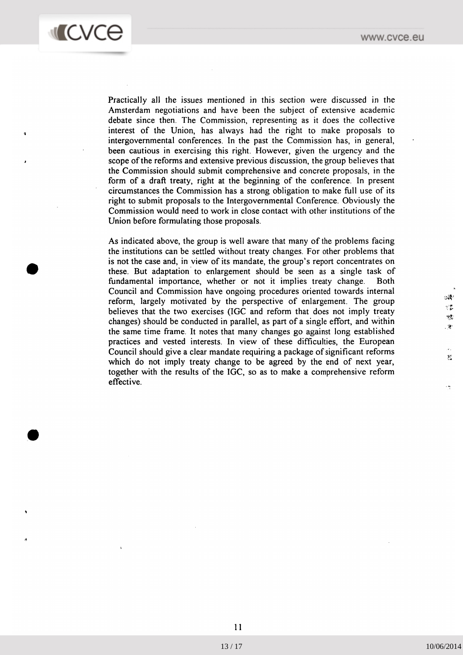

Practically all the issues mentioned in this section were discussed in the Amsterdam negotiations and have been the subject of extensive academic debate since then. The Commission, representing as it does the collective interest of the Union, has always had the right to make proposals to intergovernmental conferences. In the past the Commission has, in general, been cautious in exercising this right. However, given the urgency and the scope of the reforms and extensive previous discussion, the group believes that the Commission should submit comprehensive and concrete proposals, in the form of a draft treaty, right at the beginning of the conference. In present circumstances the Commission has a strong obligation to make full use of its right to submit proposals to the Intergovernmental Conference. Obviously the Commission would need to work in close contact with other institutions of the Union before formulating those proposals.

As indicated above, the group is well aware that many of the problems facing the institutions can be settled without treaty changes. For other problems that is not the case and, in view of its mandate, the group's report concentrates on these. But adaptation to enlargement should be seen as a single task of fundamental importance, whether or not it implies treaty change. Both Council and Commission have ongoing procedures oriented towards internal reform, largely motivated by the perspective of enlargement. The group believes that the two exercises (IGC and reform that does not imply treaty changes) should be conducted in parallel, as part of a single effort, and within the same time frame. It notes that many changes go against long established practices and vested interests. In view of these difficulties, the European Council should give a clear mandate requiring a package of significant reforms which do not imply treaty change to be agreed by the end of next year, together with the results of the IGC, so as to make a comprehensive reform effective.

्रदैः 简略 Ψĥ,  $\mathcal{H}$ 

揺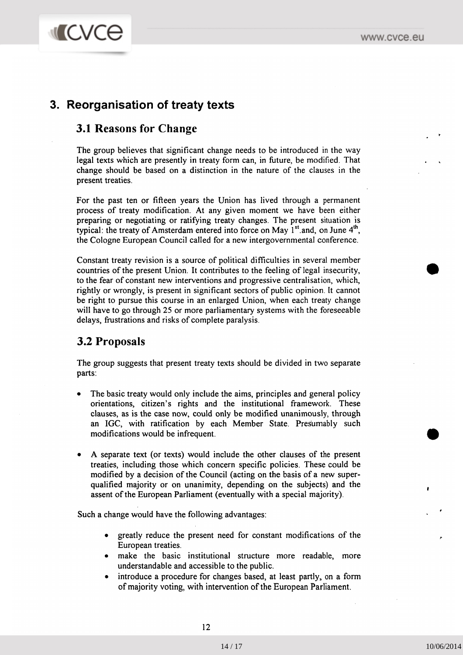## **3. Reorganisation of treaty texts**

#### **3.1 Reasons for Change**

**I** CVCE

The group believes that significant change needs to be introduced in the way legal texts which are presently in treaty form can, in future, be modified. That change should be based on a distinction in the nature of the clauses in the present treaties.

For the past ten or fifteen years the Union has lived through a permanent process of treaty modification. At any given moment we have been either preparing or negotiating or ratifying treaty changes. The present situation is typical: the treaty of Amsterdam entered into force on May  $1^{st}$  and, on June  $4^{th}$ , the Cologne European Council called for a new intergovernmental conference.

Constant treaty revision is a source of political difficulties in several member countries of the present Union. It contributes to the feeling of legal insecurity, to the fear of constant new interventions and progressive centralisation, which, rightly or wrongly, is present in significant sectors of public opinion. It cannot be right to pursue this course in an enlarged Union, when each treaty change will have to go through 25 or more parliamentary systems with the foreseeable delays, frustrations and risks of complete paralysis.

#### **3.2 Proposals**

The group suggests that present treaty texts should be divided in two separate parts:

- The basic treaty would only include the aims, principles and general policy orientations, citizen's rights and the institutional framework. These clauses, as is the case now, could only be modified unanimously, through an IGC, with ratification by each Member State. Presumably such modifications would be infrequent.
- A separate text (or texts) would include the other clauses of the present treaties, including those which concern specific policies. These could be modified by a decision of the Council (acting on the basis of a new superqualified majority or on unanimity, depending on the subjects) and the assent of the European Parliament (eventually with a special majority).

Such a change would have the following advantages:

- greatly reduce the present need for constant modifications of the European treaties.
- make the basic institutional structure more readable, more understandable and accessible to the public.
- introduce a procedure for changes based, at least partly, on a form of majority voting, with intervention of the European Parliament.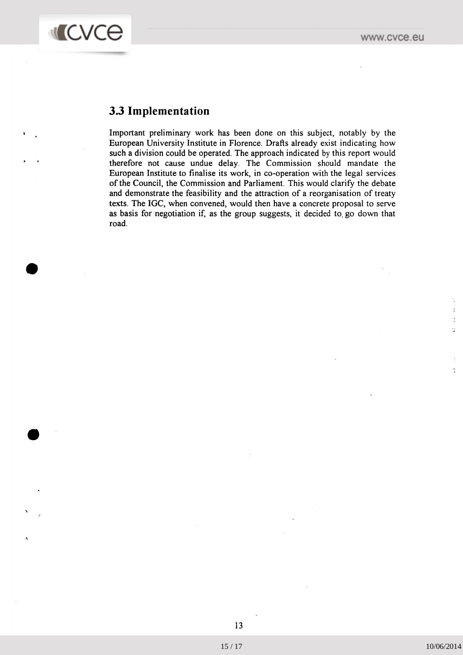## **INCVCO**

## **3.3 Implementation**

Important preliminary work has been done on this subject, notably by the European University Institute in Florence. Drafts already exist indicating how such a division could be operated. The approach indicated by this report would therefore not cause undue delay. The Commission should mandate the European Institute to finalise its work, in co-operation with the legal services of the Council, the Commission and Parliament. This would clarify the debate and demonstrate the feasibility and the attraction of a reorganisation of treaty texts. The IGC, when convened, would then have a concrete proposal to serve as basis for negotiation if, as the group suggests, it decided to. go down that road.

 $\frac{d}{d}$  $\frac{4}{4}$ s.

 $\frac{1}{4}$ 

15 / 17 10/06/2014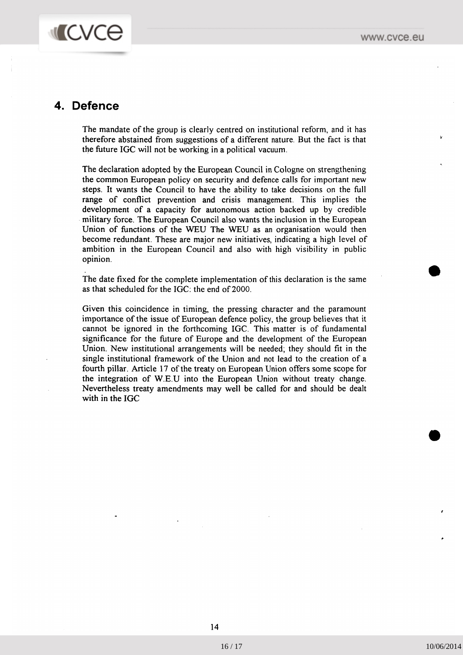## **II CVCE**

## **4. Defence**

The mandate of the group is clearly centred on institutional reform, and it has therefore abstained from suggestions of a different nature. But the fact is that the future IGC will not be working in a political vacuum.

The declaration adopted by the European Council in Cologne on strengthening the common European policy on security and defence calls for important new steps. It wants the Council to have the ability to take decisions on the full range of conflict prevention and crisis management. This implies the development of a capacity for autonomous action backed up by credible military force. The European Council also wants the inclusion in the European Union of functions of the WEU The WEU as an organisation would then become redundant. These are major new initiatives, indicating a high level of ambition in the European Council and also with high visibility in public opinion.

The date fixed for the complete implementation of this declaration is the same as that scheduled for the IGC: the end of 2000.

Given this coincidence in timing, the pressing character and the paramount importance of the issue of European defence policy, the group believes that it cannot be ignored in the forthcoming IGC. This matter is of fundamental significance for the future of Europe and the development of the European Union. New institutional arrangements will be needed; they should fit in the single institutional framework of the Union and not lead to the creation of a fourth pillar. Article 17 of the treaty on European Union offers some scope for the integration of W.E.U into the European Union without treaty change. Nevertheless treaty amendments may well be called for and should be dealt with in the IGC